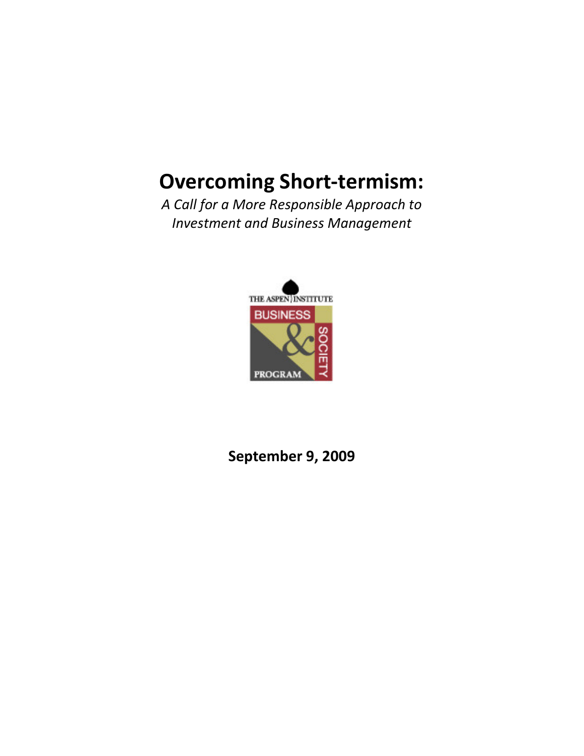# Overcoming Short-termism:

A Call for a More Responsible Approach to Investment and Business Management



September 9, 2009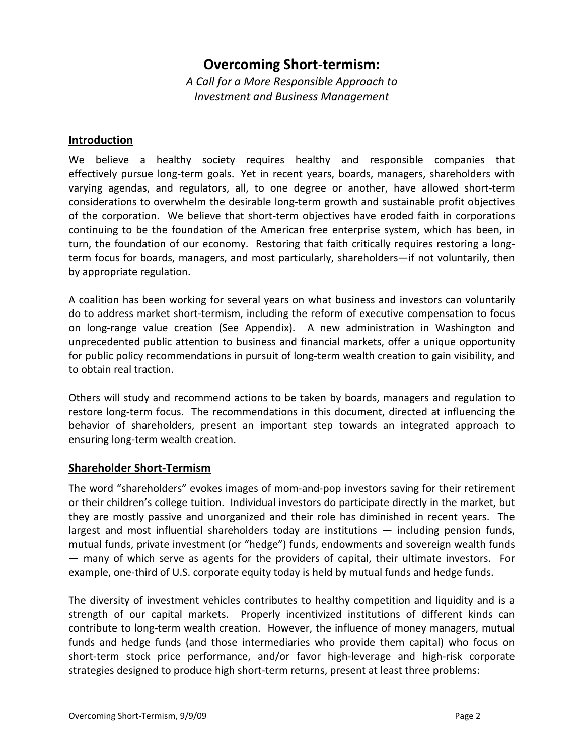## Overcoming Short-termism:

A Call for a More Responsible Approach to Investment and Business Management

#### Introduction

We believe a healthy society requires healthy and responsible companies that effectively pursue long-term goals. Yet in recent years, boards, managers, shareholders with varying agendas, and regulators, all, to one degree or another, have allowed short-term considerations to overwhelm the desirable long-term growth and sustainable profit objectives of the corporation. We believe that short-term objectives have eroded faith in corporations continuing to be the foundation of the American free enterprise system, which has been, in turn, the foundation of our economy. Restoring that faith critically requires restoring a longterm focus for boards, managers, and most particularly, shareholders—if not voluntarily, then by appropriate regulation.

A coalition has been working for several years on what business and investors can voluntarily do to address market short-termism, including the reform of executive compensation to focus on long-range value creation (See Appendix). A new administration in Washington and unprecedented public attention to business and financial markets, offer a unique opportunity for public policy recommendations in pursuit of long-term wealth creation to gain visibility, and to obtain real traction.

Others will study and recommend actions to be taken by boards, managers and regulation to restore long-term focus. The recommendations in this document, directed at influencing the behavior of shareholders, present an important step towards an integrated approach to ensuring long-term wealth creation.

### Shareholder Short-Termism

The word "shareholders" evokes images of mom-and-pop investors saving for their retirement or their children's college tuition. Individual investors do participate directly in the market, but they are mostly passive and unorganized and their role has diminished in recent years. The largest and most influential shareholders today are institutions — including pension funds, mutual funds, private investment (or "hedge") funds, endowments and sovereign wealth funds — many of which serve as agents for the providers of capital, their ultimate investors. For example, one-third of U.S. corporate equity today is held by mutual funds and hedge funds.

The diversity of investment vehicles contributes to healthy competition and liquidity and is a strength of our capital markets. Properly incentivized institutions of different kinds can contribute to long-term wealth creation. However, the influence of money managers, mutual funds and hedge funds (and those intermediaries who provide them capital) who focus on short-term stock price performance, and/or favor high-leverage and high-risk corporate strategies designed to produce high short-term returns, present at least three problems: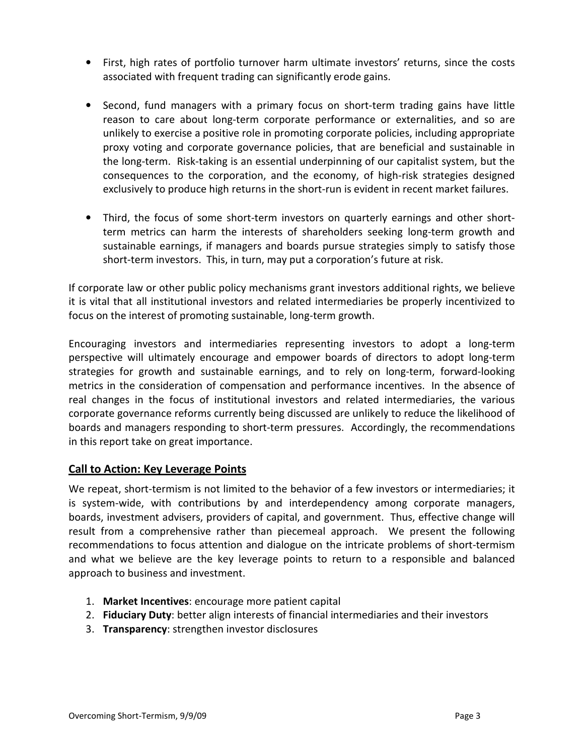- First, high rates of portfolio turnover harm ultimate investors' returns, since the costs associated with frequent trading can significantly erode gains.
- Second, fund managers with a primary focus on short-term trading gains have little reason to care about long-term corporate performance or externalities, and so are unlikely to exercise a positive role in promoting corporate policies, including appropriate proxy voting and corporate governance policies, that are beneficial and sustainable in the long-term. Risk-taking is an essential underpinning of our capitalist system, but the consequences to the corporation, and the economy, of high-risk strategies designed exclusively to produce high returns in the short-run is evident in recent market failures.
- Third, the focus of some short-term investors on quarterly earnings and other shortterm metrics can harm the interests of shareholders seeking long-term growth and sustainable earnings, if managers and boards pursue strategies simply to satisfy those short-term investors. This, in turn, may put a corporation's future at risk.

If corporate law or other public policy mechanisms grant investors additional rights, we believe it is vital that all institutional investors and related intermediaries be properly incentivized to focus on the interest of promoting sustainable, long-term growth.

Encouraging investors and intermediaries representing investors to adopt a long-term perspective will ultimately encourage and empower boards of directors to adopt long-term strategies for growth and sustainable earnings, and to rely on long-term, forward-looking metrics in the consideration of compensation and performance incentives. In the absence of real changes in the focus of institutional investors and related intermediaries, the various corporate governance reforms currently being discussed are unlikely to reduce the likelihood of boards and managers responding to short-term pressures. Accordingly, the recommendations in this report take on great importance.

### Call to Action: Key Leverage Points

We repeat, short-termism is not limited to the behavior of a few investors or intermediaries; it is system-wide, with contributions by and interdependency among corporate managers, boards, investment advisers, providers of capital, and government. Thus, effective change will result from a comprehensive rather than piecemeal approach. We present the following recommendations to focus attention and dialogue on the intricate problems of short-termism and what we believe are the key leverage points to return to a responsible and balanced approach to business and investment.

- 1. Market Incentives: encourage more patient capital
- 2. Fiduciary Duty: better align interests of financial intermediaries and their investors
- 3. Transparency: strengthen investor disclosures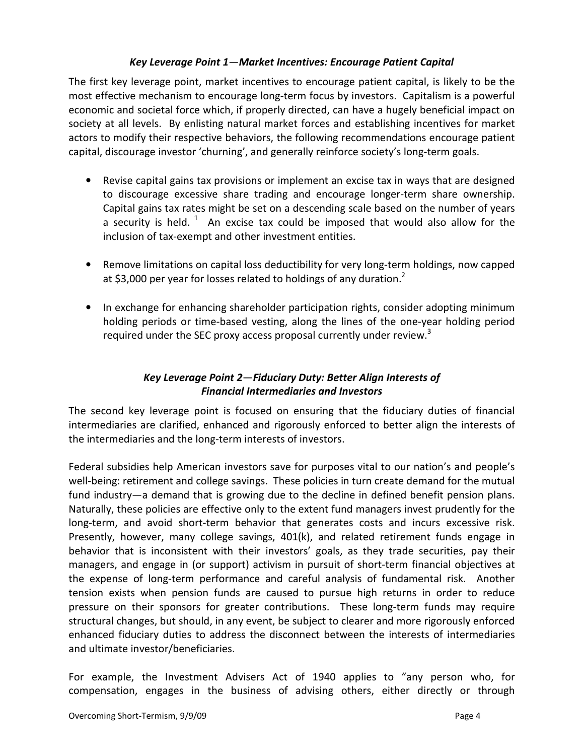#### Key Leverage Point 1—Market Incentives: Encourage Patient Capital

The first key leverage point, market incentives to encourage patient capital, is likely to be the most effective mechanism to encourage long-term focus by investors. Capitalism is a powerful economic and societal force which, if properly directed, can have a hugely beneficial impact on society at all levels. By enlisting natural market forces and establishing incentives for market actors to modify their respective behaviors, the following recommendations encourage patient capital, discourage investor 'churning', and generally reinforce society's long-term goals.

- Revise capital gains tax provisions or implement an excise tax in ways that are designed to discourage excessive share trading and encourage longer-term share ownership. Capital gains tax rates might be set on a descending scale based on the number of years a security is held.<sup>1</sup> An excise tax could be imposed that would also allow for the inclusion of tax-exempt and other investment entities.
- Remove limitations on capital loss deductibility for very long-term holdings, now capped at \$3,000 per year for losses related to holdings of any duration.<sup>2</sup>
- In exchange for enhancing shareholder participation rights, consider adopting minimum holding periods or time-based vesting, along the lines of the one-year holding period required under the SEC proxy access proposal currently under review.<sup>3</sup>

## Key Leverage Point 2—Fiduciary Duty: Better Align Interests of Financial Intermediaries and Investors

The second key leverage point is focused on ensuring that the fiduciary duties of financial intermediaries are clarified, enhanced and rigorously enforced to better align the interests of the intermediaries and the long-term interests of investors.

Federal subsidies help American investors save for purposes vital to our nation's and people's well-being: retirement and college savings. These policies in turn create demand for the mutual fund industry—a demand that is growing due to the decline in defined benefit pension plans. Naturally, these policies are effective only to the extent fund managers invest prudently for the long-term, and avoid short-term behavior that generates costs and incurs excessive risk. Presently, however, many college savings, 401(k), and related retirement funds engage in behavior that is inconsistent with their investors' goals, as they trade securities, pay their managers, and engage in (or support) activism in pursuit of short-term financial objectives at the expense of long-term performance and careful analysis of fundamental risk. Another tension exists when pension funds are caused to pursue high returns in order to reduce pressure on their sponsors for greater contributions. These long-term funds may require structural changes, but should, in any event, be subject to clearer and more rigorously enforced enhanced fiduciary duties to address the disconnect between the interests of intermediaries and ultimate investor/beneficiaries.

For example, the Investment Advisers Act of 1940 applies to "any person who, for compensation, engages in the business of advising others, either directly or through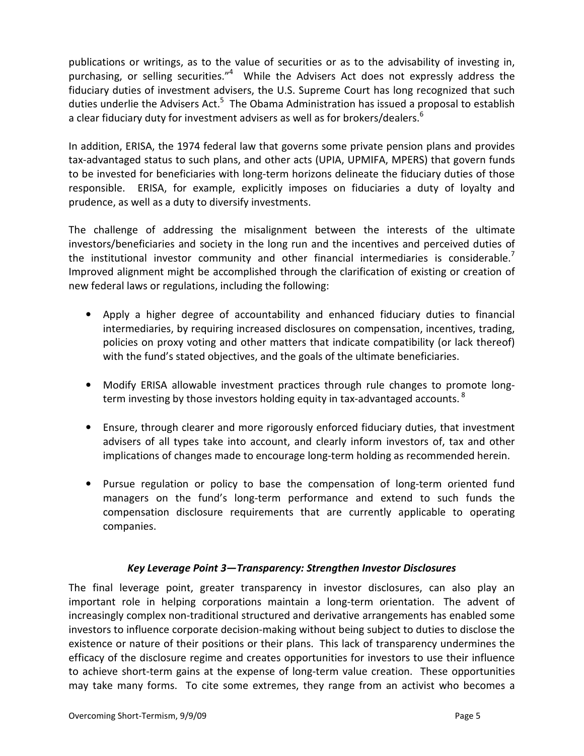publications or writings, as to the value of securities or as to the advisability of investing in, purchasing, or selling securities."<sup>4</sup> While the Advisers Act does not expressly address the fiduciary duties of investment advisers, the U.S. Supreme Court has long recognized that such duties underlie the Advisers Act.<sup>5</sup> The Obama Administration has issued a proposal to establish a clear fiduciary duty for investment advisers as well as for brokers/dealers.<sup>6</sup>

In addition, ERISA, the 1974 federal law that governs some private pension plans and provides tax-advantaged status to such plans, and other acts (UPIA, UPMIFA, MPERS) that govern funds to be invested for beneficiaries with long-term horizons delineate the fiduciary duties of those responsible. ERISA, for example, explicitly imposes on fiduciaries a duty of loyalty and prudence, as well as a duty to diversify investments.

The challenge of addressing the misalignment between the interests of the ultimate investors/beneficiaries and society in the long run and the incentives and perceived duties of the institutional investor community and other financial intermediaries is considerable.<sup>7</sup> Improved alignment might be accomplished through the clarification of existing or creation of new federal laws or regulations, including the following:

- Apply a higher degree of accountability and enhanced fiduciary duties to financial intermediaries, by requiring increased disclosures on compensation, incentives, trading, policies on proxy voting and other matters that indicate compatibility (or lack thereof) with the fund's stated objectives, and the goals of the ultimate beneficiaries.
- Modify ERISA allowable investment practices through rule changes to promote longterm investing by those investors holding equity in tax-advantaged accounts.  $^{8}$
- Ensure, through clearer and more rigorously enforced fiduciary duties, that investment advisers of all types take into account, and clearly inform investors of, tax and other implications of changes made to encourage long-term holding as recommended herein.
- Pursue regulation or policy to base the compensation of long-term oriented fund managers on the fund's long-term performance and extend to such funds the compensation disclosure requirements that are currently applicable to operating companies.

### Key Leverage Point 3—Transparency: Strengthen Investor Disclosures

The final leverage point, greater transparency in investor disclosures, can also play an important role in helping corporations maintain a long-term orientation. The advent of increasingly complex non-traditional structured and derivative arrangements has enabled some investors to influence corporate decision-making without being subject to duties to disclose the existence or nature of their positions or their plans. This lack of transparency undermines the efficacy of the disclosure regime and creates opportunities for investors to use their influence to achieve short-term gains at the expense of long-term value creation. These opportunities may take many forms. To cite some extremes, they range from an activist who becomes a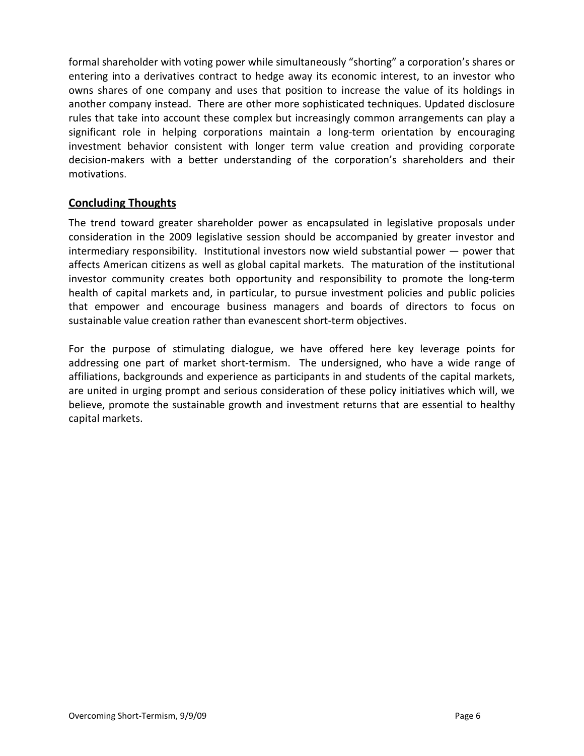formal shareholder with voting power while simultaneously "shorting" a corporation's shares or entering into a derivatives contract to hedge away its economic interest, to an investor who owns shares of one company and uses that position to increase the value of its holdings in another company instead. There are other more sophisticated techniques. Updated disclosure rules that take into account these complex but increasingly common arrangements can play a significant role in helping corporations maintain a long-term orientation by encouraging investment behavior consistent with longer term value creation and providing corporate decision-makers with a better understanding of the corporation's shareholders and their motivations.

### Concluding Thoughts

The trend toward greater shareholder power as encapsulated in legislative proposals under consideration in the 2009 legislative session should be accompanied by greater investor and intermediary responsibility. Institutional investors now wield substantial power — power that affects American citizens as well as global capital markets. The maturation of the institutional investor community creates both opportunity and responsibility to promote the long-term health of capital markets and, in particular, to pursue investment policies and public policies that empower and encourage business managers and boards of directors to focus on sustainable value creation rather than evanescent short-term objectives.

For the purpose of stimulating dialogue, we have offered here key leverage points for addressing one part of market short-termism. The undersigned, who have a wide range of affiliations, backgrounds and experience as participants in and students of the capital markets, are united in urging prompt and serious consideration of these policy initiatives which will, we believe, promote the sustainable growth and investment returns that are essential to healthy capital markets.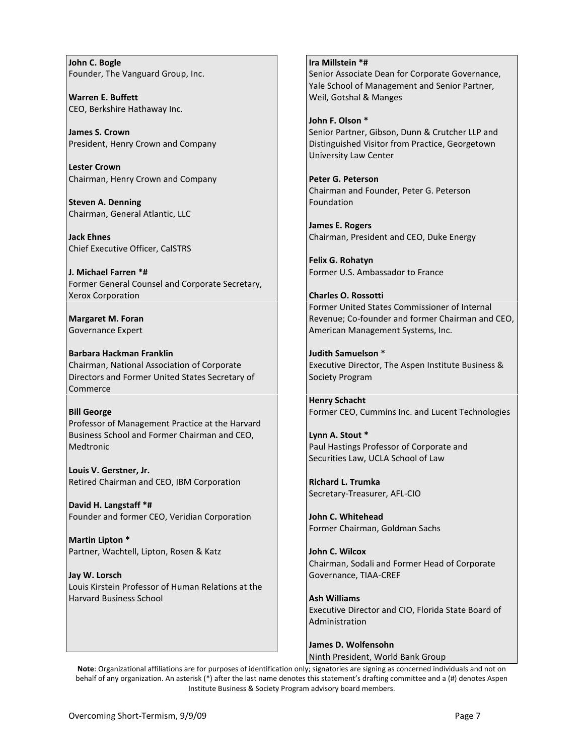John C. Bogle Founder, The Vanguard Group, Inc.

Warren E. Buffett CEO, Berkshire Hathaway Inc.

James S. Crown President, Henry Crown and Company

Lester Crown Chairman, Henry Crown and Company

Steven A. Denning Chairman, General Atlantic, LLC

Jack Ehnes Chief Executive Officer, CalSTRS

J. Michael Farren \*# Former General Counsel and Corporate Secretary, Xerox Corporation

Margaret M. Foran Governance Expert

Barbara Hackman Franklin Chairman, National Association of Corporate Directors and Former United States Secretary of Commerce

#### Bill George

Professor of Management Practice at the Harvard Business School and Former Chairman and CEO, Medtronic

Louis V. Gerstner, Jr. Retired Chairman and CEO, IBM Corporation

David H. Langstaff \*# Founder and former CEO, Veridian Corporation

Martin Lipton \* Partner, Wachtell, Lipton, Rosen & Katz

Jay W. Lorsch Louis Kirstein Professor of Human Relations at the Harvard Business School

Ira Millstein \*# Senior Associate Dean for Corporate Governance, Yale School of Management and Senior Partner, Weil, Gotshal & Manges

John F. Olson \* Senior Partner, Gibson, Dunn & Crutcher LLP and Distinguished Visitor from Practice, Georgetown University Law Center

Peter G. Peterson Chairman and Founder, Peter G. Peterson Foundation

James E. Rogers Chairman, President and CEO, Duke Energy

Felix G. Rohatyn Former U.S. Ambassador to France

Charles O. Rossotti Former United States Commissioner of Internal Revenue; Co-founder and former Chairman and CEO, American Management Systems, Inc.

Judith Samuelson \* Executive Director, The Aspen Institute Business & Society Program

Henry Schacht Former CEO, Cummins Inc. and Lucent Technologies

Lynn A. Stout \* Paul Hastings Professor of Corporate and Securities Law, UCLA School of Law

Richard L. Trumka Secretary-Treasurer, AFL-CIO

John C. Whitehead Former Chairman, Goldman Sachs

John C. Wilcox Chairman, Sodali and Former Head of Corporate Governance, TIAA-CREF

Ash Williams Executive Director and CIO, Florida State Board of Administration

James D. Wolfensohn Ninth President, World Bank Group

Note: Organizational affiliations are for purposes of identification only; signatories are signing as concerned individuals and not on behalf of any organization. An asterisk (\*) after the last name denotes this statement's drafting committee and a (#) denotes Aspen Institute Business & Society Program advisory board members.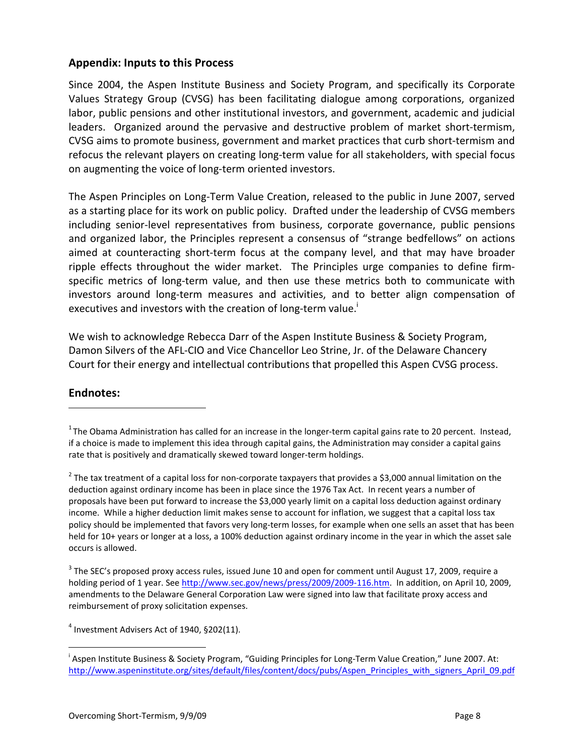#### Appendix: Inputs to this Process

Since 2004, the Aspen Institute Business and Society Program, and specifically its Corporate Values Strategy Group (CVSG) has been facilitating dialogue among corporations, organized labor, public pensions and other institutional investors, and government, academic and judicial leaders. Organized around the pervasive and destructive problem of market short-termism, CVSG aims to promote business, government and market practices that curb short-termism and refocus the relevant players on creating long-term value for all stakeholders, with special focus on augmenting the voice of long-term oriented investors.

The Aspen Principles on Long-Term Value Creation, released to the public in June 2007, served as a starting place for its work on public policy. Drafted under the leadership of CVSG members including senior-level representatives from business, corporate governance, public pensions and organized labor, the Principles represent a consensus of "strange bedfellows" on actions aimed at counteracting short-term focus at the company level, and that may have broader ripple effects throughout the wider market. The Principles urge companies to define firmspecific metrics of long-term value, and then use these metrics both to communicate with investors around long-term measures and activities, and to better align compensation of executives and investors with the creation of long-term value.<sup>i</sup>

We wish to acknowledge Rebecca Darr of the Aspen Institute Business & Society Program, Damon Silvers of the AFL-CIO and Vice Chancellor Leo Strine, Jr. of the Delaware Chancery Court for their energy and intellectual contributions that propelled this Aspen CVSG process.

#### Endnotes:  $\overline{a}$

 $\overline{a}$ 

 $4$  Investment Advisers Act of 1940, §202(11).

 $1$ The Obama Administration has called for an increase in the longer-term capital gains rate to 20 percent. Instead, if a choice is made to implement this idea through capital gains, the Administration may consider a capital gains rate that is positively and dramatically skewed toward longer-term holdings.

 $^2$  The tax treatment of a capital loss for non-corporate taxpayers that provides a \$3,000 annual limitation on the deduction against ordinary income has been in place since the 1976 Tax Act. In recent years a number of proposals have been put forward to increase the \$3,000 yearly limit on a capital loss deduction against ordinary income. While a higher deduction limit makes sense to account for inflation, we suggest that a capital loss tax policy should be implemented that favors very long-term losses, for example when one sells an asset that has been held for 10+ years or longer at a loss, a 100% deduction against ordinary income in the year in which the asset sale occurs is allowed.

 $3$  The SEC's proposed proxy access rules, issued June 10 and open for comment until August 17, 2009, require a holding period of 1 year. See http://www.sec.gov/news/press/2009/2009-116.htm. In addition, on April 10, 2009, amendments to the Delaware General Corporation Law were signed into law that facilitate proxy access and reimbursement of proxy solicitation expenses.

<sup>&</sup>lt;sup>i</sup> Aspen Institute Business & Society Program, "Guiding Principles for Long-Term Value Creation," June 2007. At: http://www.aspeninstitute.org/sites/default/files/content/docs/pubs/Aspen\_Principles\_with\_signers\_April\_09.pdf